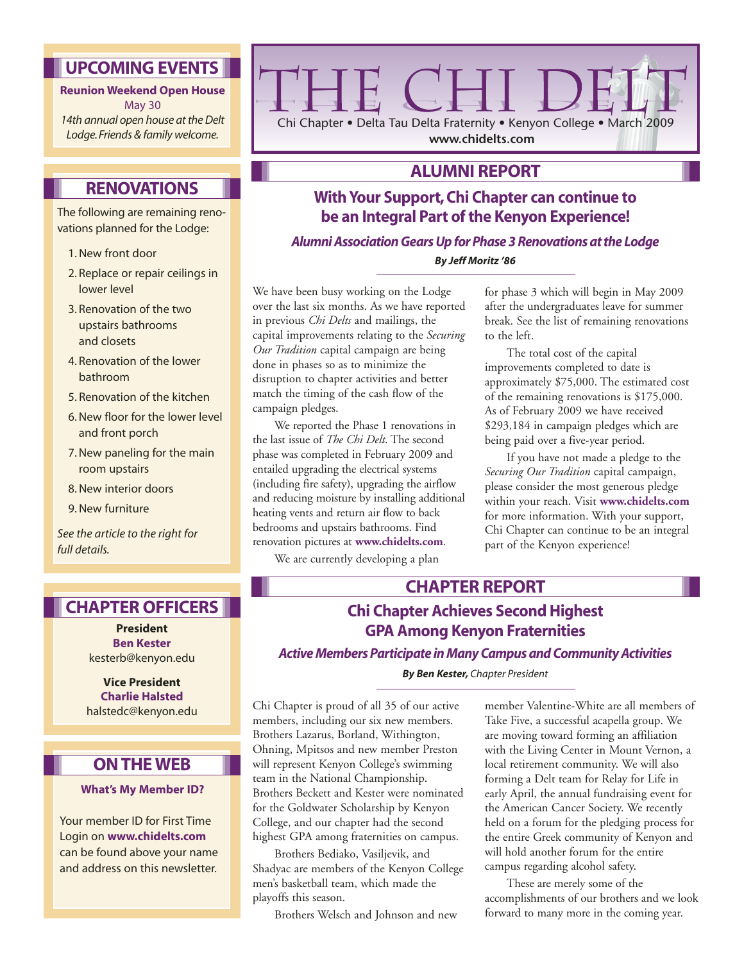### **UPCOMING EVENTS**

**Reunion Weekend Open House** May 30 *14th annual open house at the Delt Lodge. Friends & family welcome.*

### **RENOVATIONS**

The following are remaining renovations planned for the Lodge:

- 1. New front door
- 2. Replace or repair ceilings in lower level
- 3. Renovation of the two upstairs bathrooms and closets
- 4. Renovation of the lower bathroom
- 5. Renovation of the kitchen
- 6. New floor for the lower level and front porch
- 7. New paneling for the main room upstairs
- 8. New interior doors
- 9. New furniture

*See the article to the right for full details.*

#### **CHAPTER OFFICERS**

**President Ben Kester** kesterb@kenyon.edu

**Vice President Charlie Halsted** halstedc@kenyon.edu

#### **ON THE WEB**

#### **What's My Member ID?**

Your member ID for First Time Login on **www.chidelts.com** can be found above your name and address on this newsletter.



#### **ALUMNI REPORT**

### **With Your Support, Chi Chapter can continue to be an Integral Part of the Kenyon Experience!**

*Alumni Association Gears Up for Phase 3 Renovations at the Lodge*

*By Jeff Moritz '86*

We have been busy working on the Lodge over the last six months. As we have reported in previous *Chi Delts* and mailings, the capital improvements relating to the *Securing Our Tradition* capital campaign are being done in phases so as to minimize the disruption to chapter activities and better match the timing of the cash flow of the campaign pledges.

We reported the Phase 1 renovations in the last issue of *The Chi Delt*. The second phase was completed in February 2009 and entailed upgrading the electrical systems (including fire safety), upgrading the airflow and reducing moisture by installing additional heating vents and return air flow to back bedrooms and upstairs bathrooms. Find renovation pictures at **www.chidelts.com**.

We are currently developing a plan

for phase 3 which will begin in May 2009 after the undergraduates leave for summer break. See the list of remaining renovations to the left.

The total cost of the capital improvements completed to date is approximately \$75,000. The estimated cost of the remaining renovations is \$175,000. As of February 2009 we have received \$293,184 in campaign pledges which are being paid over a five-year period.

If you have not made a pledge to the *Securing Our Tradition* capital campaign, please consider the most generous pledge within your reach. Visit **www.chidelts.com** for more information. With your support, Chi Chapter can continue to be an integral part of the Kenyon experience!

#### **CHAPTER REPORT**

### **Chi Chapter Achieves Second Highest GPA Among Kenyon Fraternities**

*Active Members Participate in Many Campus and Community Activities*

*By Ben Kester, Chapter President*

Chi Chapter is proud of all 35 of our active members, including our six new members. Brothers Lazarus, Borland, Withington, Ohning, Mpitsos and new member Preston will represent Kenyon College's swimming team in the National Championship. Brothers Beckett and Kester were nominated for the Goldwater Scholarship by Kenyon College, and our chapter had the second highest GPA among fraternities on campus.

Brothers Bediako, Vasiljevik, and Shadyac are members of the Kenyon College men's basketball team, which made the playoffs this season.

Brothers Welsch and Johnson and new

member Valentine-White are all members of Take Five, a successful acapella group. We are moving toward forming an affiliation with the Living Center in Mount Vernon, a local retirement community. We will also forming a Delt team for Relay for Life in early April, the annual fundraising event for the American Cancer Society. We recently held on a forum for the pledging process for the entire Greek community of Kenyon and will hold another forum for the entire campus regarding alcohol safety.

These are merely some of the accomplishments of our brothers and we look forward to many more in the coming year.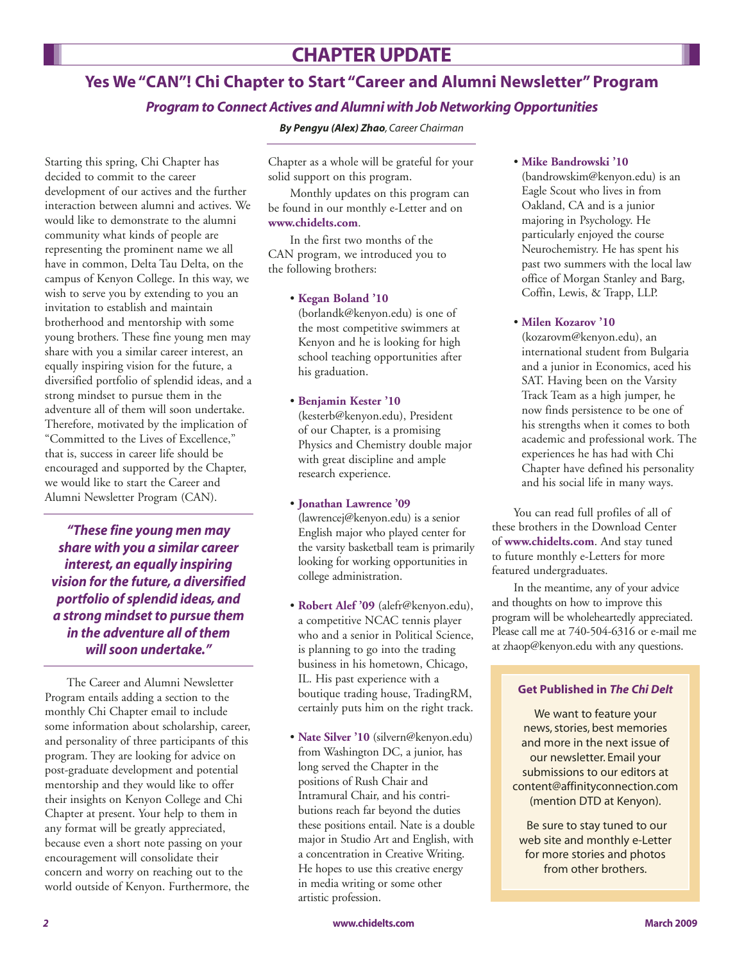# **Yes We "CAN"! Chi Chapter to Start "Career and Alumni Newsletter" Program**

#### *Program to Connect Actives and Alumni with Job Networking Opportunities*

*By Pengyu (Alex) Zhao, Career Chairman*

Starting this spring, Chi Chapter has decided to commit to the career development of our actives and the further interaction between alumni and actives. We would like to demonstrate to the alumni community what kinds of people are representing the prominent name we all have in common, Delta Tau Delta, on the campus of Kenyon College. In this way, we wish to serve you by extending to you an invitation to establish and maintain brotherhood and mentorship with some young brothers. These fine young men may share with you a similar career interest, an equally inspiring vision for the future, a diversified portfolio of splendid ideas, and a strong mindset to pursue them in the adventure all of them will soon undertake. Therefore, motivated by the implication of "Committed to the Lives of Excellence," that is, success in career life should be encouraged and supported by the Chapter, we would like to start the Career and Alumni Newsletter Program (CAN).

*"These fine young men may share with you a similar career interest, an equally inspiring vision for the future, a diversified portfolio of splendid ideas, and a strong mindset to pursue them in the adventure all of them will soon undertake."*

The Career and Alumni Newsletter Program entails adding a section to the monthly Chi Chapter email to include some information about scholarship, career, and personality of three participants of this program. They are looking for advice on post-graduate development and potential mentorship and they would like to offer their insights on Kenyon College and Chi Chapter at present. Your help to them in any format will be greatly appreciated, because even a short note passing on your encouragement will consolidate their concern and worry on reaching out to the world outside of Kenyon. Furthermore, the

Chapter as a whole will be grateful for your solid support on this program.

Monthly updates on this program can be found in our monthly e-Letter and on **www.chidelts.com**.

In the first two months of the CAN program, we introduced you to the following brothers:

#### • **Kegan Boland '10**

(borlandk@kenyon.edu) is one of the most competitive swimmers at Kenyon and he is looking for high school teaching opportunities after his graduation.

#### • **Benjamin Kester '10**

(kesterb@kenyon.edu), President of our Chapter, is a promising Physics and Chemistry double major with great discipline and ample research experience.

#### • **Jonathan Lawrence '09**

(lawrencej@kenyon.edu) is a senior English major who played center for the varsity basketball team is primarily looking for working opportunities in college administration.

- **Robert Alef '09** (alefr@kenyon.edu), a competitive NCAC tennis player who and a senior in Political Science, is planning to go into the trading business in his hometown, Chicago, IL. His past experience with a boutique trading house, TradingRM, certainly puts him on the right track.
- **Nate Silver '10** (silvern@kenyon.edu) from Washington DC, a junior, has long served the Chapter in the positions of Rush Chair and Intramural Chair, and his contributions reach far beyond the duties these positions entail. Nate is a double major in Studio Art and English, with a concentration in Creative Writing. He hopes to use this creative energy in media writing or some other artistic profession.

#### • **Mike Bandrowski '10**

(bandrowskim@kenyon.edu) is an Eagle Scout who lives in from Oakland, CA and is a junior majoring in Psychology. He particularly enjoyed the course Neurochemistry. He has spent his past two summers with the local law office of Morgan Stanley and Barg, Coffin, Lewis, & Trapp, LLP.

#### • **Milen Kozarov '10**

(kozarovm@kenyon.edu), an international student from Bulgaria and a junior in Economics, aced his SAT. Having been on the Varsity Track Team as a high jumper, he now finds persistence to be one of his strengths when it comes to both academic and professional work. The experiences he has had with Chi Chapter have defined his personality and his social life in many ways.

You can read full profiles of all of these brothers in the Download Center of **www.chidelts.com**. And stay tuned to future monthly e-Letters for more featured undergraduates.

In the meantime, any of your advice and thoughts on how to improve this program will be wholeheartedly appreciated. Please call me at 740-504-6316 or e-mail me at zhaop@kenyon.edu with any questions.

#### **Get Published in** *The Chi Delt*

We want to feature your news, stories, best memories and more in the next issue of our newsletter. Email your submissions to our editors at content@affinityconnection.com (mention DTD at Kenyon).

Be sure to stay tuned to our web site and monthly e-Letter for more stories and photos from other brothers.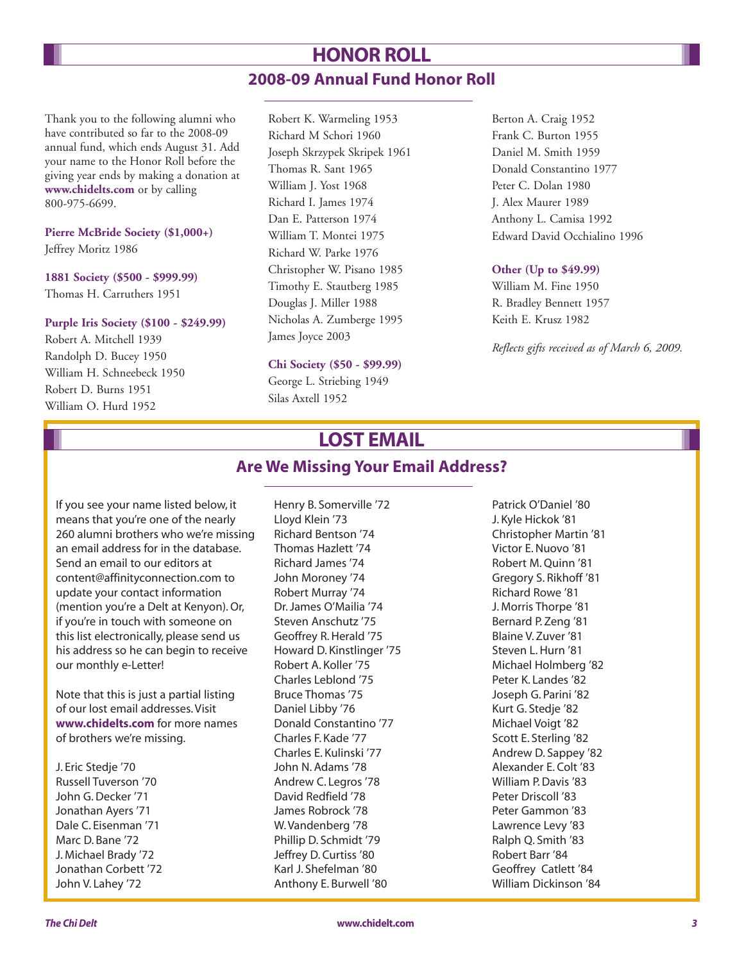# **HONOR ROLL 2008-09 Annual Fund Honor Roll**

Thank you to the following alumni who have contributed so far to the 2008-09 annual fund, which ends August 31. Add your name to the Honor Roll before the giving year ends by making a donation at **www.chidelts.com** or by calling 800-975-6699.

#### **Pierre McBride Society (\$1,000+)** Jeffrey Moritz 1986

#### **1881 Society (\$500 - \$999.99)** Thomas H. Carruthers 1951

#### **Purple Iris Society (\$100 - \$249.99)**

Robert A. Mitchell 1939 Randolph D. Bucey 1950 William H. Schneebeck 1950 Robert D. Burns 1951 William O. Hurd 1952

Robert K. Warmeling 1953 Richard M Schori 1960 Joseph Skrzypek Skripek 1961 Thomas R. Sant 1965 William J. Yost 1968 Richard I. James 1974 Dan E. Patterson 1974 William T. Montei 1975 Richard W. Parke 1976 Christopher W. Pisano 1985 Timothy E. Stautberg 1985 Douglas J. Miller 1988 Nicholas A. Zumberge 1995 James Joyce 2003

#### **Chi Society (\$50 - \$99.99)**

George L. Striebing 1949

Silas Axtell 1952

Berton A. Craig 1952 Frank C. Burton 1955 Daniel M. Smith 1959 Donald Constantino 1977 Peter C. Dolan 1980 J. Alex Maurer 1989 Anthony L. Camisa 1992 Edward David Occhialino 1996

#### **Other (Up to \$49.99)**

William M. Fine 1950 R. Bradley Bennett 1957 Keith E. Krusz 1982

*Reflects gifts received as of March 6, 2009.*

# **LOST EMAIL**

#### **Are We Missing Your Email Address?**

If you see your name listed below, it means that you're one of the nearly 260 alumni brothers who we're missing an email address for in the database. Send an email to our editors at content@affinityconnection.com to update your contact information (mention you're a Delt at Kenyon). Or, if you're in touch with someone on this list electronically, please send us his address so he can begin to receive our monthly e-Letter!

Note that this is just a partial listing of our lost email addresses. Visit **www.chidelts.com** for more names of brothers we're missing.

J. Eric Stedje '70 Russell Tuverson '70 John G. Decker '71 Jonathan Ayers '71 Dale C. Eisenman '71 Marc D. Bane '72 J. Michael Brady '72 Jonathan Corbett '72 John V. Lahey '72

Henry B. Somerville '72 Lloyd Klein '73 Richard Bentson '74 Thomas Hazlett '74 Richard James '74 John Moroney '74 Robert Murray '74 Dr. James O'Mailia '74 Steven Anschutz '75 Geoffrey R. Herald '75 Howard D. Kinstlinger '75 Robert A. Koller '75 Charles Leblond '75 Bruce Thomas '75 Daniel Libby '76 Donald Constantino '77 Charles F. Kade '77 Charles E. Kulinski '77 John N. Adams '78 Andrew C. Legros '78 David Redfield '78 James Robrock '78 W. Vandenberg '78 Phillip D. Schmidt '79 Jeffrey D. Curtiss '80 Karl J. Shefelman '80 Anthony E. Burwell '80

Patrick O'Daniel '80 J. Kyle Hickok '81 Christopher Martin '81 Victor E. Nuovo '81 Robert M. Quinn '81 Gregory S. Rikhoff '81 Richard Rowe '81 J. Morris Thorpe '81 Bernard P. Zeng '81 Blaine V. Zuver '81 Steven L. Hurn '81 Michael Holmberg '82 Peter K. Landes '82 Joseph G. Parini '82 Kurt G. Stedje '82 Michael Voigt '82 Scott E. Sterling '82 Andrew D. Sappey '82 Alexander E. Colt '83 William P. Davis '83 Peter Driscoll '83 Peter Gammon '83 Lawrence Levy '83 Ralph Q. Smith '83 Robert Barr '84 Geoffrey Catlett '84 William Dickinson '84